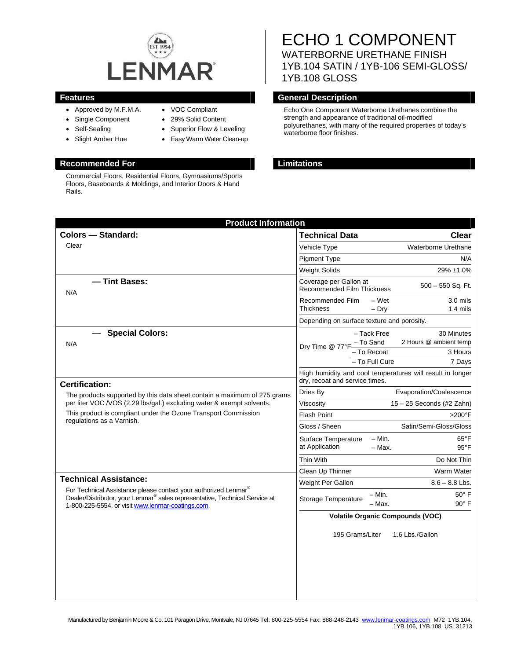

- Approved by M.F.M.A.
- Single Component
- Self-Sealing
- Slight Amber Hue
- VOC Compliant
- 29% Solid Content
- Superior Flow & Leveling
- Easy Warm Water Clean-up

# **Recommended For Limitations**

Commercial Floors, Residential Floors, Gymnasiums/Sports Floors, Baseboards & Moldings, and Interior Doors & Hand Rails.

# ECHO 1 COMPONENT WATERBORNE URETHANE FINISH 1YB.104 SATIN / 1YB-106 SEMI-GLOSS/

1YB.108 GLOSS

# **Features General Description Contract Description**

Echo One Component Waterborne Urethanes combine the strength and appearance of traditional oil-modified polyurethanes, with many of the required properties of today's waterborne floor finishes.

| <b>Product Information</b>                                                                                                                                                                                                                                                                                                                                                                                                                                                                          |                                                           |                                              |                                                           |
|-----------------------------------------------------------------------------------------------------------------------------------------------------------------------------------------------------------------------------------------------------------------------------------------------------------------------------------------------------------------------------------------------------------------------------------------------------------------------------------------------------|-----------------------------------------------------------|----------------------------------------------|-----------------------------------------------------------|
| <b>Colors - Standard:</b>                                                                                                                                                                                                                                                                                                                                                                                                                                                                           | <b>Technical Data</b>                                     |                                              | Clear                                                     |
| Clear                                                                                                                                                                                                                                                                                                                                                                                                                                                                                               | Vehicle Type                                              |                                              | Waterborne Urethane                                       |
|                                                                                                                                                                                                                                                                                                                                                                                                                                                                                                     | <b>Pigment Type</b>                                       |                                              | N/A                                                       |
|                                                                                                                                                                                                                                                                                                                                                                                                                                                                                                     | <b>Weight Solids</b>                                      |                                              | 29% ±1.0%                                                 |
| - Tint Bases:<br>N/A                                                                                                                                                                                                                                                                                                                                                                                                                                                                                | Coverage per Gallon at<br>Recommended Film Thickness      |                                              | $500 - 550$ Sq. Ft.                                       |
|                                                                                                                                                                                                                                                                                                                                                                                                                                                                                                     | Recommended Film<br><b>Thickness</b>                      | – Wet<br>$-$ Dry                             | $3.0$ mils<br>$1.4$ mils                                  |
|                                                                                                                                                                                                                                                                                                                                                                                                                                                                                                     | Depending on surface texture and porosity.                |                                              |                                                           |
| <b>Special Colors:</b><br>N/A                                                                                                                                                                                                                                                                                                                                                                                                                                                                       | Dry Time @ 77°F - To Sand                                 | - Tack Free<br>- To Recoat<br>- To Full Cure | 30 Minutes<br>2 Hours @ ambient temp<br>3 Hours<br>7 Days |
|                                                                                                                                                                                                                                                                                                                                                                                                                                                                                                     | High humidity and cool temperatures will result in longer |                                              |                                                           |
| <b>Certification:</b>                                                                                                                                                                                                                                                                                                                                                                                                                                                                               | dry, recoat and service times.                            |                                              |                                                           |
| The products supported by this data sheet contain a maximum of 275 grams<br>per liter VOC /VOS (2.29 lbs/gal.) excluding water & exempt solvents.<br>This product is compliant under the Ozone Transport Commission<br>regulations as a Varnish.<br><b>Technical Assistance:</b><br>For Technical Assistance please contact your authorized Lenmar®<br>Dealer/Distributor, your Lenmar <sup>®</sup> sales representative, Technical Service at<br>1-800-225-5554, or visit www.lenmar-coatings.com. | Dries By                                                  |                                              | Evaporation/Coalescence                                   |
|                                                                                                                                                                                                                                                                                                                                                                                                                                                                                                     | Viscosity                                                 |                                              | 15 - 25 Seconds (#2 Zahn)                                 |
|                                                                                                                                                                                                                                                                                                                                                                                                                                                                                                     | <b>Flash Point</b>                                        |                                              | $>200^\circ F$                                            |
|                                                                                                                                                                                                                                                                                                                                                                                                                                                                                                     | Gloss / Sheen                                             |                                              | Satin/Semi-Gloss/Gloss                                    |
|                                                                                                                                                                                                                                                                                                                                                                                                                                                                                                     | Surface Temperature<br>at Application                     | $- Min.$<br>- Max.                           | $65^{\circ}$ F<br>$95^{\circ}$ F                          |
|                                                                                                                                                                                                                                                                                                                                                                                                                                                                                                     | Thin With                                                 |                                              | Do Not Thin                                               |
|                                                                                                                                                                                                                                                                                                                                                                                                                                                                                                     | Clean Up Thinner                                          |                                              | Warm Water                                                |
|                                                                                                                                                                                                                                                                                                                                                                                                                                                                                                     | Weight Per Gallon                                         |                                              | $8.6 - 8.8$ Lbs.                                          |
|                                                                                                                                                                                                                                                                                                                                                                                                                                                                                                     | Storage Temperature                                       | - Min.<br>– Max.                             | $50^\circ$ F<br>$90^\circ$ F                              |
|                                                                                                                                                                                                                                                                                                                                                                                                                                                                                                     | <b>Volatile Organic Compounds (VOC)</b>                   |                                              |                                                           |
|                                                                                                                                                                                                                                                                                                                                                                                                                                                                                                     | 195 Grams/Liter                                           |                                              | 1.6 Lbs./Gallon                                           |
|                                                                                                                                                                                                                                                                                                                                                                                                                                                                                                     |                                                           |                                              |                                                           |